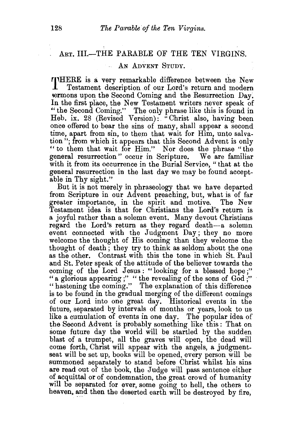## ART. III.-THE PARABLE OF THE TEN VIRGINS.

## AN ADVENT STUDY.

THERE is a very remarkable difference between the New Testament description of our Lord's return and modern Testament description of our Lord's return and modern \ermons upon the Second Coming and the Resurrection Day. In the first place, the New Testament writers never speak of " the Second Coming." The only phrase like this is found in Heb. ix. 28 (Revised Version): "Christ also, having been once offered to bear the sins of many, shall appear a second time, apart from sin, to them that wait for Him, unto salvation"; from which it appears that this Second Advent is only "to them that wait for Him." Nor does the phrase "the general resurrection " occur in Scripture. We are familiar with it from its occurrence in the Burial Service, "that at the general resurrection in the last day we may be found acceptable in Thy sight."

But it is not merely in phraseology that we have departed from Scripture in our Advent preaching, but, what is of far greater importance, in the spirit and motive. The New Testament idea is that for Christians the Lord's return is a joyful rather than a solemn event. Many devout Christians regard the Lord's return as they regard death-a solemn event connected with the Judgment Day; they no more welcome the thought of His coming than they welcome the thought of death; they try to think as seldom about the one as the other. Contrast with this the tone in which St. Paul and St. Peter speak of the attitude of the believer towards the coming of the Lord Jesus : "looking for a blessed hope ;" "a glorious appearing ;" " the revealing of the sons of God ;" "hastening the coming." The explanation of this difference is to be found in the gradual merging of the different comings of our Lord into one great day. Historical events in the future, separated by intervals of months or years, look to us like a cumulation of events in one day. The popular idea of the Second Advent is probably something like this: That on some future day the world will be startled by the sudden blast of a trumpet, all the graves will open, the dead will come forth, Christ will appear with the angels, a judgmentseat will be set up, books will be opened, every person will be summoned separately to stand before Christ whilst his sins are read out of the book, the Judge will pass sentence either of acquittal or of condemnation, the great crowd of humanity will be separated for ever, some going to hell, the others to heaven, and then the deserted earth will be destroyed by fire,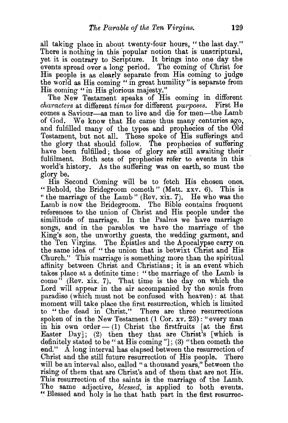all taking place in about twenty-four hours, "the last day." There is nothing in this 'popular notion that is unscriptural, yet it is contrary to Scripture. It brings into one day the events spread over a long period. The coming of Christ for His people is as clearly separate from His coming to judge the world as His coming " in great humility" is separate from His coming "in His glorious majesty."

The New Testament speaks of His coming in different *characters* at different *times* for different *purposes.* E'irst He comes a Saviour-as man to live and die for men-the Lamb of God. We know that He came thus many centuries ago, and fulfilled many of the types and prophecies of the Old Testament, but not all. These spoke of His sufferings and the glory that should follow. The prophecies of suffering have been fulfilled; those of glory are still awaiting their fulfilment. Both sets of prophecies refer to events in this world's history. As the suffering was on earth, so must the glory be.

His Second Coming will be to fetch His chosen ones. "Behold, the Bridegroom cometh" (Matt. xxv. 6). This is "the marriage of the Lamb" (Rev. xix. 7). He who was the Lamb is now the Bridegroom. The Bible contains frequent references to the union of Christ and His people under the similitude of marriage. In the Psalms we have marriage songs, and in the parables we have the marriage of the King's son, the unworthy guests, the wedding garment, and the Ten Virgins. The Epistles and the Apocalypse carry on the same idea of " the union that is betwixt Christ and His Church." This marriage is something more than the spiritual affinity between Christ and Christians; it is an event which takes place at a definite time: "the marriage of the Lamb is come" (Rev. xix. 7). That time is the day on which the Lord will appear in the air accompanied by the souls from paradise (which must not be confused with heaven): at that moment will take place the first resurrection, which is limited to "the dead in Christ." There are three resurrections spoken of in the New Testament (1 Cor. xv. 23): "every man in his own order  $-$  (1) Christ the first fruits [at the first Easter Day]; (2) then they that are Christ's [which is definitely stated to be " at His coming"]; (3) "then cometh the end." A long interval has elapsed between the resurrection of Christ and the still future resurrection of His people. There will be an interval also, called "a thousand years," between the rising of them that are Christ's and of them that are not His. This resurrection of the saints is the marriage of the Lamb. The same adjective, *blessed,* is applied to both events. " Blessed and holy is he that hath part in the first resurrec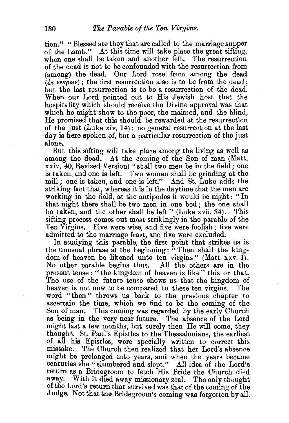tion." "Blessed are they that are called to the marriage supper of the Lamb." At this time will take place the great sifting, when one shall be taken and another left. The resurrection of the dead is not to be confounded with the resurrection from (among) the dead. Our Lord rose from among the dead  $(kk \nu \epsilon \kappa \rho \omega \nu)$ ; the first resurrection also is to be from the dead; but the last resurrection is to be a resurrection of the dead. When our Lord pointed out to His Jewish host that the hospitality which should receive the Divine approval was that which he might show to the poor, the maimed, and the blind, He promised that this should be rewarded at the resurrection of the just (Luke xiv. 14): no general resurrection at the last day is here spoken of, but a particular resurrection of the just alone.

But this sifting will take place among the living as well as among the dead. At the coming of the Son of man (Matt. xxiv. 40, Revised Version) "shall two men be in the field; one is taken, and one is left. Two women shall be grinding at the mill; one is taken, and one is left." And St. Luke adds the striking fact that, whereas it is in the daytime that the men are working in the field, at the antipodes it would be night: " In that night there shall be two men in one bed; the one shall be taken, and the other shall be left" (Luke xvii, 34). This be taken, and the other shall be left" (Luke xvii. 34). sifting process comes out most strikingly in the parable of the Ten Virgins. Five were wise, and five were foolish; five were admitted to the marriage feast, and five were excluded.

In studying this parable, the first point that strikes us is the unusual phrase at the beginning: "Then shall the kingdom of heaven be likened unto ten virgins" (Matt. xxv. 1). No other parable begins thus. All the others are in the present tense : " the kingdom of heaven is like " this or that. The use of the future tense shows us that the kingdom of heaven is not now to be compared to these ten virgins. The word "then " throws us back to the previous chapter to ascertain the time, which we find to be the coming of the Son of man. This coming was regarded by the early Church as being in the very near future. The absence of the Lord might last a few months, but surely then He will come, they thought. St. Paul's Epistles to the Thessalonians, the earliest of all his Epistles, were specially written to correct this mistake. The Church then realized that her Lord's absence might be prolonged into years, and when the years became centuries she "slumbered and slept." All idea of the Lord's return as a Bridegroom to fetch His Bride the Church died away. With it died away missionary zeal. The only thought of the Lord's return that survived was that of the coming of the Judge. Not that the Bridegroom's coming was forgotten by all.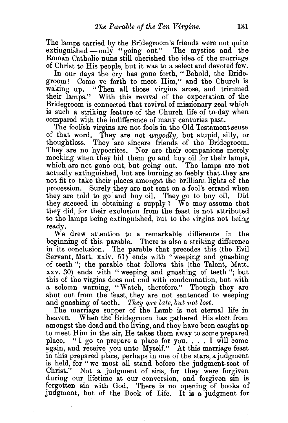The lamps carried by the Bridegroom's friends were not quite extinguished  $-\text{only}$  "going out." The mystics and the Roman Catholic nuns still cherished the idea of the marriage of Christ to His people, but it was to a select and devoted few.

In our days the cry has gone forth, " Behold, the Bridegroom! Come ye forth to meet Him," and the Church is waking up. "Then all those virgins arose, and trimmed their lamps." With this revival of the expectation of the Bridegroom is connected that revival of missionary zeal which is such a striking feature of the Church life of to-day when compared with the indifference of many centuries past.

The foolish virgins are not fools in the Old Testament sense of that word. They are not *ungodly,* but stupid, silly, or thoughtless. They are sincere friends of the Bridegroom. They are no hypocrites. Nor are their companions merely mocking when they bid them go and buy oil for their lamps, which are not gone out, but going out. The lamps are not actually extinguished, but are burning so feebly that they are not fit to take their places amongst the brilliant lights of the procession. Surely they are not sent on a fool's errand when they are told to go· and buy oil. They go to buy oil. Did they succeed in obtaining a supply ? We may assume that they did, for their exclusion from the feast is not attributed to the lamps being extinguished, but to the virgins not being ready.

We drew attention to a remarkable difference in the beginning of this parable. There is also a striking difference in its conclusion. The parable that precedes this (the Evil Servant, Matt. xxiv. 51) ends with "weeping and gnashing of teeth "; the parable that follows this (the Talent, Matt. xxv. 30) ends with "weeping and gnashing of teeth"; but this of the virgins does not end with condemnation, but with a solemn warning, "Watch, therefore." Though they are shut out from the feast, they are not sentenced to weeping and gnashing of teeth. *They are late, but not lost*.

The marriage supper of the Lamb is not eternal life in heaven. When the Bridegroom has gathered His elect from amongst the dead and the living, and they have been caught up to meet Him in the air, He takes them away to some prepared place. " I go to prepare a place for you. . . . I will come again, and receive you unto Myself." At this marriage feast in this prepared place, perhaps in one of the stars, a judgment is held, for "we must all stand before the judgment-seat of Christ." Not a judgment of sins, for they were forgiven during our lifetime at our conversion, and forgiven sin is forgotten sin with God. There is no opening of books of Judgment, but of the Book of Life. It is a judgment for